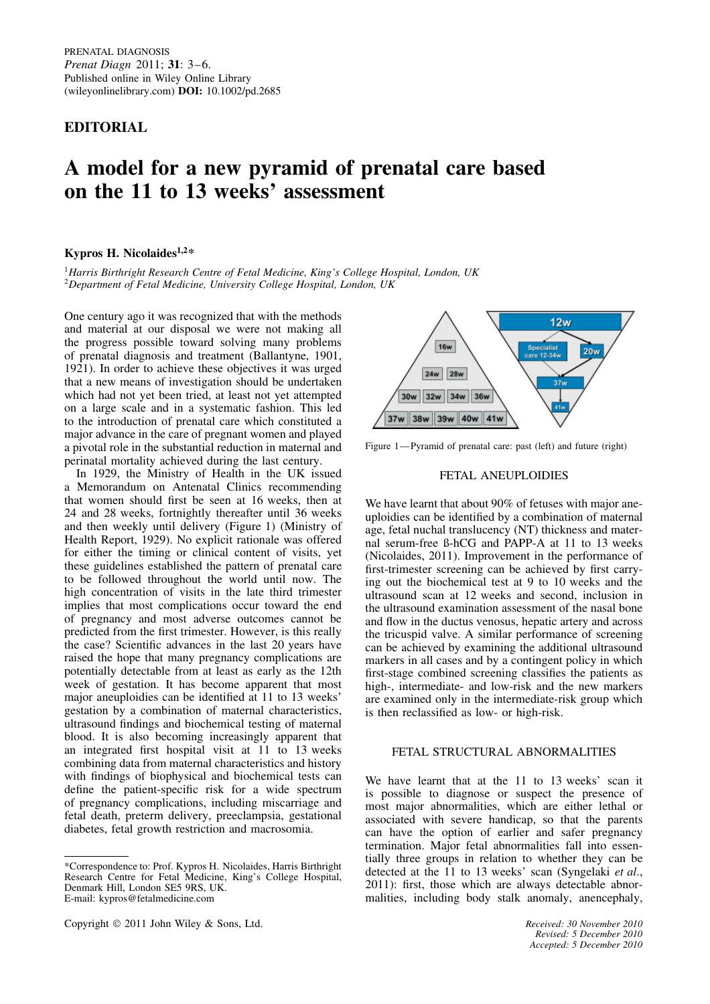**EDITORIAL**

# **A model for a new pyramid of prenatal care based on the 11 to 13 weeks' assessment**

## **Kypros H. Nicolaides1,2\***

<sup>1</sup>*Harris Birthright Research Centre of Fetal Medicine, King's College Hospital, London, UK* <sup>2</sup>*Department of Fetal Medicine, University College Hospital, London, UK*

One century ago it was recognized that with the methods and material at our disposal we were not making all the progress possible toward solving many problems of prenatal diagnosis and treatment (Ballantyne, 1901, 1921). In order to achieve these objectives it was urged that a new means of investigation should be undertaken which had not yet been tried, at least not yet attempted on a large scale and in a systematic fashion. This led to the introduction of prenatal care which constituted a major advance in the care of pregnant women and played a pivotal role in the substantial reduction in maternal and perinatal mortality achieved during the last century.

In 1929, the Ministry of Health in the UK issued a Memorandum on Antenatal Clinics recommending that women should first be seen at 16 weeks, then at 24 and 28 weeks, fortnightly thereafter until 36 weeks and then weekly until delivery (Figure 1) (Ministry of Health Report, 1929). No explicit rationale was offered for either the timing or clinical content of visits, yet these guidelines established the pattern of prenatal care to be followed throughout the world until now. The high concentration of visits in the late third trimester implies that most complications occur toward the end of pregnancy and most adverse outcomes cannot be predicted from the first trimester. However, is this really the case? Scientific advances in the last 20 years have raised the hope that many pregnancy complications are potentially detectable from at least as early as the 12th week of gestation. It has become apparent that most major aneuploidies can be identified at 11 to 13 weeks' gestation by a combination of maternal characteristics, ultrasound findings and biochemical testing of maternal blood. It is also becoming increasingly apparent that an integrated first hospital visit at 11 to 13 weeks combining data from maternal characteristics and history with findings of biophysical and biochemical tests can define the patient-specific risk for a wide spectrum of pregnancy complications, including miscarriage and fetal death, preterm delivery, preeclampsia, gestational diabetes, fetal growth restriction and macrosomia.

<sup>\*</sup>Correspondence to: Prof. Kypros H. Nicolaides, Harris Birthright Research Centre for Fetal Medicine, King's College Hospital, Denmark Hill, London SE5 9RS, UK. E-mail: kypros@fetalmedicine.com





Figure 1—Pyramid of prenatal care: past (left) and future (right)

## FETAL ANEUPLOIDIES

We have learnt that about 90% of fetuses with major aneuploidies can be identified by a combination of maternal age, fetal nuchal translucency (NT) thickness and maternal serum-free ß-hCG and PAPP-A at 11 to 13 weeks (Nicolaides, 2011). Improvement in the performance of first-trimester screening can be achieved by first carrying out the biochemical test at 9 to 10 weeks and the ultrasound scan at 12 weeks and second, inclusion in the ultrasound examination assessment of the nasal bone and flow in the ductus venosus, hepatic artery and across the tricuspid valve. A similar performance of screening can be achieved by examining the additional ultrasound markers in all cases and by a contingent policy in which first-stage combined screening classifies the patients as high-, intermediate- and low-risk and the new markers are examined only in the intermediate-risk group which is then reclassified as low- or high-risk.

# FETAL STRUCTURAL ABNORMALITIES

We have learnt that at the 11 to 13 weeks' scan it is possible to diagnose or suspect the presence of most major abnormalities, which are either lethal or associated with severe handicap, so that the parents can have the option of earlier and safer pregnancy termination. Major fetal abnormalities fall into essentially three groups in relation to whether they can be detected at the 11 to 13 weeks' scan (Syngelaki *et al*., 2011): first, those which are always detectable abnormalities, including body stalk anomaly, anencephaly,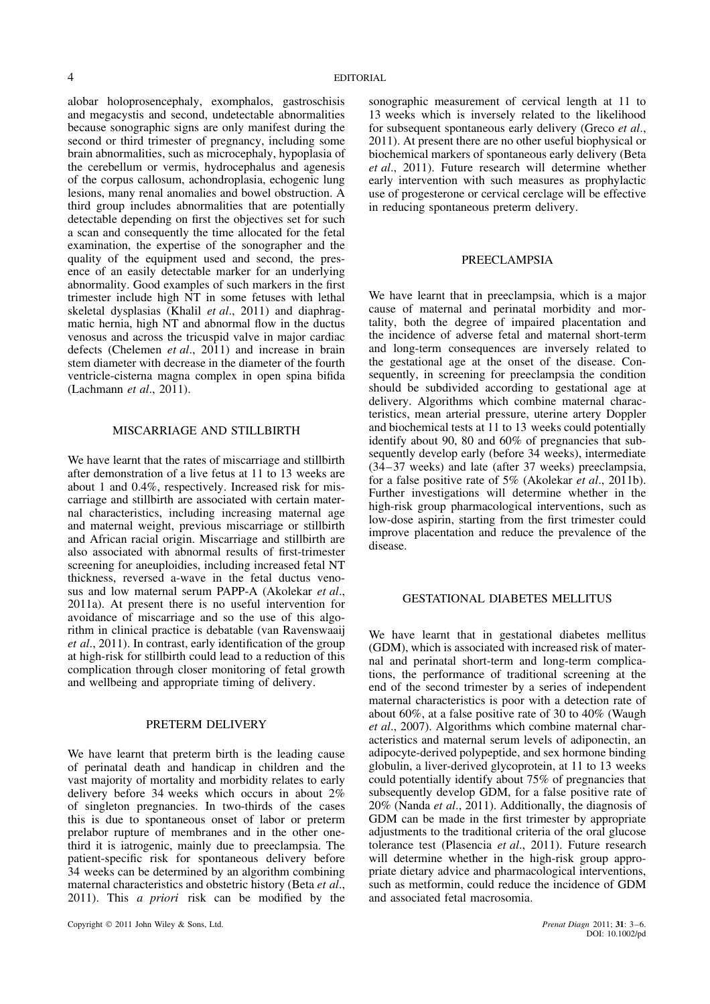alobar holoprosencephaly, exomphalos, gastroschisis and megacystis and second, undetectable abnormalities because sonographic signs are only manifest during the second or third trimester of pregnancy, including some brain abnormalities, such as microcephaly, hypoplasia of the cerebellum or vermis, hydrocephalus and agenesis of the corpus callosum, achondroplasia, echogenic lung lesions, many renal anomalies and bowel obstruction. A third group includes abnormalities that are potentially detectable depending on first the objectives set for such a scan and consequently the time allocated for the fetal examination, the expertise of the sonographer and the quality of the equipment used and second, the presence of an easily detectable marker for an underlying abnormality. Good examples of such markers in the first trimester include high NT in some fetuses with lethal skeletal dysplasias (Khalil *et al*., 2011) and diaphragmatic hernia, high NT and abnormal flow in the ductus venosus and across the tricuspid valve in major cardiac defects (Chelemen *et al*., 2011) and increase in brain stem diameter with decrease in the diameter of the fourth ventricle-cisterna magna complex in open spina bifida (Lachmann *et al*., 2011).

#### MISCARRIAGE AND STILLBIRTH

We have learnt that the rates of miscarriage and stillbirth after demonstration of a live fetus at 11 to 13 weeks are about 1 and 0.4%, respectively. Increased risk for miscarriage and stillbirth are associated with certain maternal characteristics, including increasing maternal age and maternal weight, previous miscarriage or stillbirth and African racial origin. Miscarriage and stillbirth are also associated with abnormal results of first-trimester screening for aneuploidies, including increased fetal NT thickness, reversed a-wave in the fetal ductus venosus and low maternal serum PAPP-A (Akolekar *et al*., 2011a). At present there is no useful intervention for avoidance of miscarriage and so the use of this algorithm in clinical practice is debatable (van Ravenswaaij *et al*., 2011). In contrast, early identification of the group at high-risk for stillbirth could lead to a reduction of this complication through closer monitoring of fetal growth and wellbeing and appropriate timing of delivery.

## PRETERM DELIVERY

We have learnt that preterm birth is the leading cause of perinatal death and handicap in children and the vast majority of mortality and morbidity relates to early delivery before 34 weeks which occurs in about 2% of singleton pregnancies. In two-thirds of the cases this is due to spontaneous onset of labor or preterm prelabor rupture of membranes and in the other onethird it is iatrogenic, mainly due to preeclampsia. The patient-specific risk for spontaneous delivery before 34 weeks can be determined by an algorithm combining maternal characteristics and obstetric history (Beta *et al*., 2011). This *a priori* risk can be modified by the

sonographic measurement of cervical length at 11 to 13 weeks which is inversely related to the likelihood for subsequent spontaneous early delivery (Greco *et al*., 2011). At present there are no other useful biophysical or biochemical markers of spontaneous early delivery (Beta *et al*., 2011). Future research will determine whether early intervention with such measures as prophylactic use of progesterone or cervical cerclage will be effective in reducing spontaneous preterm delivery.

#### PREECLAMPSIA

We have learnt that in preeclampsia, which is a major cause of maternal and perinatal morbidity and mortality, both the degree of impaired placentation and the incidence of adverse fetal and maternal short-term and long-term consequences are inversely related to the gestational age at the onset of the disease. Consequently, in screening for preeclampsia the condition should be subdivided according to gestational age at delivery. Algorithms which combine maternal characteristics, mean arterial pressure, uterine artery Doppler and biochemical tests at 11 to 13 weeks could potentially identify about 90, 80 and 60% of pregnancies that subsequently develop early (before 34 weeks), intermediate (34–37 weeks) and late (after 37 weeks) preeclampsia, for a false positive rate of 5% (Akolekar *et al*., 2011b). Further investigations will determine whether in the high-risk group pharmacological interventions, such as low-dose aspirin, starting from the first trimester could improve placentation and reduce the prevalence of the disease.

#### GESTATIONAL DIABETES MELLITUS

We have learnt that in gestational diabetes mellitus (GDM), which is associated with increased risk of maternal and perinatal short-term and long-term complications, the performance of traditional screening at the end of the second trimester by a series of independent maternal characteristics is poor with a detection rate of about 60%, at a false positive rate of 30 to 40% (Waugh *et al*., 2007). Algorithms which combine maternal characteristics and maternal serum levels of adiponectin, an adipocyte-derived polypeptide, and sex hormone binding globulin, a liver-derived glycoprotein, at 11 to 13 weeks could potentially identify about 75% of pregnancies that subsequently develop GDM, for a false positive rate of 20% (Nanda *et al*., 2011). Additionally, the diagnosis of GDM can be made in the first trimester by appropriate adjustments to the traditional criteria of the oral glucose tolerance test (Plasencia *et al*., 2011). Future research will determine whether in the high-risk group appropriate dietary advice and pharmacological interventions, such as metformin, could reduce the incidence of GDM and associated fetal macrosomia.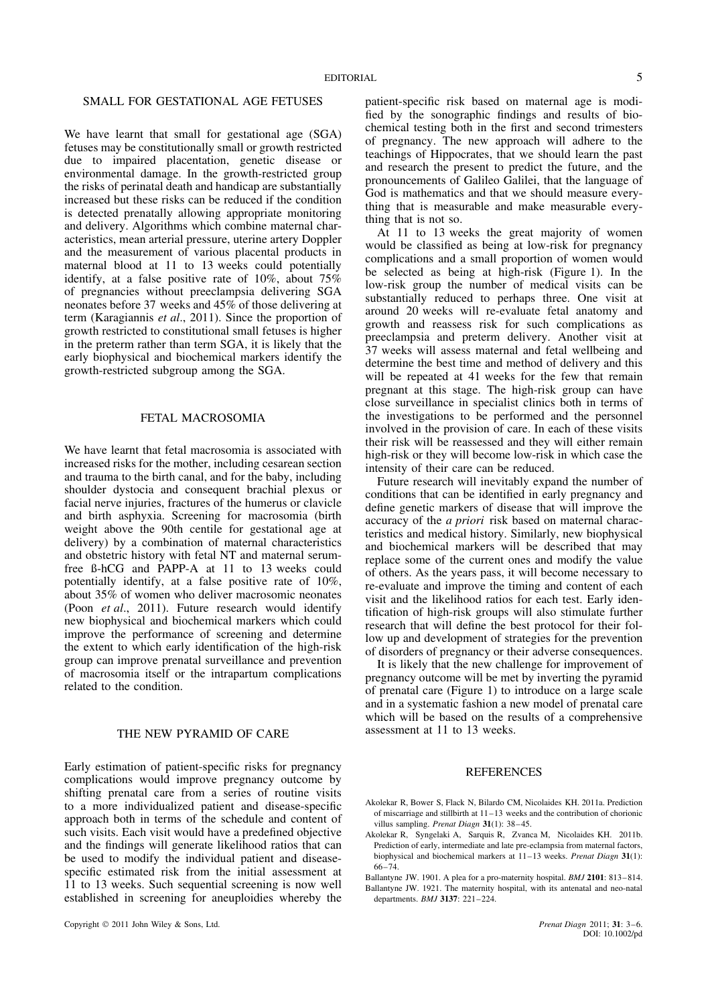## SMALL FOR GESTATIONAL AGE FETUSES

We have learnt that small for gestational age (SGA) fetuses may be constitutionally small or growth restricted due to impaired placentation, genetic disease or environmental damage. In the growth-restricted group the risks of perinatal death and handicap are substantially increased but these risks can be reduced if the condition is detected prenatally allowing appropriate monitoring and delivery. Algorithms which combine maternal characteristics, mean arterial pressure, uterine artery Doppler and the measurement of various placental products in maternal blood at 11 to 13 weeks could potentially identify, at a false positive rate of 10%, about 75% of pregnancies without preeclampsia delivering SGA neonates before 37 weeks and 45% of those delivering at term (Karagiannis *et al*., 2011). Since the proportion of growth restricted to constitutional small fetuses is higher in the preterm rather than term SGA, it is likely that the early biophysical and biochemical markers identify the growth-restricted subgroup among the SGA.

#### FETAL MACROSOMIA

We have learnt that fetal macrosomia is associated with increased risks for the mother, including cesarean section and trauma to the birth canal, and for the baby, including shoulder dystocia and consequent brachial plexus or facial nerve injuries, fractures of the humerus or clavicle and birth asphyxia. Screening for macrosomia (birth weight above the 90th centile for gestational age at delivery) by a combination of maternal characteristics and obstetric history with fetal NT and maternal serumfree ß-hCG and PAPP-A at 11 to 13 weeks could potentially identify, at a false positive rate of 10%, about 35% of women who deliver macrosomic neonates (Poon *et al*., 2011). Future research would identify new biophysical and biochemical markers which could improve the performance of screening and determine the extent to which early identification of the high-risk group can improve prenatal surveillance and prevention of macrosomia itself or the intrapartum complications related to the condition.

#### THE NEW PYRAMID OF CARE

Early estimation of patient-specific risks for pregnancy complications would improve pregnancy outcome by shifting prenatal care from a series of routine visits to a more individualized patient and disease-specific approach both in terms of the schedule and content of such visits. Each visit would have a predefined objective and the findings will generate likelihood ratios that can be used to modify the individual patient and diseasespecific estimated risk from the initial assessment at 11 to 13 weeks. Such sequential screening is now well established in screening for aneuploidies whereby the

patient-specific risk based on maternal age is modified by the sonographic findings and results of biochemical testing both in the first and second trimesters of pregnancy. The new approach will adhere to the teachings of Hippocrates, that we should learn the past and research the present to predict the future, and the pronouncements of Galileo Galilei, that the language of God is mathematics and that we should measure everything that is measurable and make measurable everything that is not so.

At 11 to 13 weeks the great majority of women would be classified as being at low-risk for pregnancy complications and a small proportion of women would be selected as being at high-risk (Figure 1). In the low-risk group the number of medical visits can be substantially reduced to perhaps three. One visit at around 20 weeks will re-evaluate fetal anatomy and growth and reassess risk for such complications as preeclampsia and preterm delivery. Another visit at 37 weeks will assess maternal and fetal wellbeing and determine the best time and method of delivery and this will be repeated at 41 weeks for the few that remain pregnant at this stage. The high-risk group can have close surveillance in specialist clinics both in terms of the investigations to be performed and the personnel involved in the provision of care. In each of these visits their risk will be reassessed and they will either remain high-risk or they will become low-risk in which case the intensity of their care can be reduced.

Future research will inevitably expand the number of conditions that can be identified in early pregnancy and define genetic markers of disease that will improve the accuracy of the *a priori* risk based on maternal characteristics and medical history. Similarly, new biophysical and biochemical markers will be described that may replace some of the current ones and modify the value of others. As the years pass, it will become necessary to re-evaluate and improve the timing and content of each visit and the likelihood ratios for each test. Early identification of high-risk groups will also stimulate further research that will define the best protocol for their follow up and development of strategies for the prevention of disorders of pregnancy or their adverse consequences.

It is likely that the new challenge for improvement of pregnancy outcome will be met by inverting the pyramid of prenatal care (Figure 1) to introduce on a large scale and in a systematic fashion a new model of prenatal care which will be based on the results of a comprehensive assessment at 11 to 13 weeks.

#### REFERENCES

- Akolekar R, Bower S, Flack N, Bilardo CM, Nicolaides KH. 2011a. Prediction of miscarriage and stillbirth at 11–13 weeks and the contribution of chorionic villus sampling. *Prenat Diagn* **31**(1): 38–45.
- Akolekar R, Syngelaki A, Sarquis R, Zvanca M, Nicolaides KH. 2011b. Prediction of early, intermediate and late pre-eclampsia from maternal factors, biophysical and biochemical markers at 11–13 weeks. *Prenat Diagn* **31**(1): 66–74.
- Ballantyne JW. 1901. A plea for a pro-maternity hospital. *BMJ* **2101**: 813–814. Ballantyne JW. 1921. The maternity hospital, with its antenatal and neo-natal departments. *BMJ* **3137**: 221–224.

DOI: 10.1002/pd